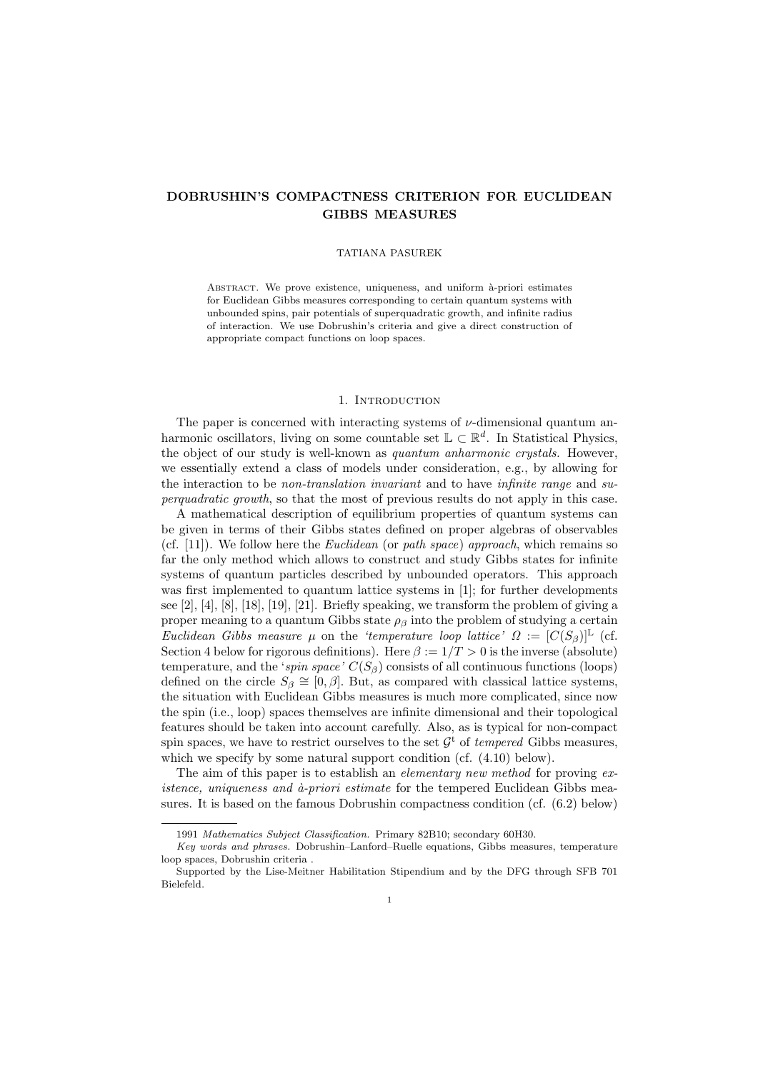# DOBRUSHIN'S COMPACTNESS CRITERION FOR EUCLIDEAN GIBBS MEASURES

#### TATIANA PASUREK

ABSTRACT. We prove existence, uniqueness, and uniform à-priori estimates for Euclidean Gibbs measures corresponding to certain quantum systems with unbounded spins, pair potentials of superquadratic growth, and infinite radius of interaction. We use Dobrushin's criteria and give a direct construction of appropriate compact functions on loop spaces.

## 1. INTRODUCTION

The paper is concerned with interacting systems of  $\nu$ -dimensional quantum anharmonic oscillators, living on some countable set  $\mathbb{L} \subset \mathbb{R}^d$ . In Statistical Physics, the object of our study is well-known as *quantum anharmonic crystals*. However, we essentially extend a class of models under consideration, e.g., by allowing for the interaction to be non-translation invariant and to have infinite range and superquadratic growth, so that the most of previous results do not apply in this case.

A mathematical description of equilibrium properties of quantum systems can be given in terms of their Gibbs states defined on proper algebras of observables (cf.  $[11]$ ). We follow here the *Euclidean* (or *path space*) approach, which remains so far the only method which allows to construct and study Gibbs states for infinite systems of quantum particles described by unbounded operators. This approach was first implemented to quantum lattice systems in [1]; for further developments see  $[2]$ ,  $[4]$ ,  $[8]$ ,  $[18]$ ,  $[19]$ ,  $[21]$ . Briefly speaking, we transform the problem of giving a proper meaning to a quantum Gibbs state  $\rho<sub>β</sub>$  into the problem of studying a certain Euclidean Gibbs measure  $\mu$  on the 'temperature loop lattice'  $\Omega := [C(S_{\beta})]^{\mathbb{L}}$  (cf. Section 4 below for rigorous definitions). Here  $\beta := 1/T > 0$  is the inverse (absolute) temperature, and the 'spin space'  $C(S_{\beta})$  consists of all continuous functions (loops) defined on the circle  $S_{\beta} \cong [0, \beta]$ . But, as compared with classical lattice systems, the situation with Euclidean Gibbs measures is much more complicated, since now the spin (i.e., loop) spaces themselves are infinite dimensional and their topological features should be taken into account carefully. Also, as is typical for non-compact spin spaces, we have to restrict ourselves to the set  $\mathcal{G}^t$  of *tempered* Gibbs measures, which we specify by some natural support condition (cf.  $(4.10)$  below).

The aim of this paper is to establish an *elementary new method* for proving ex*istence, uniqueness and*  $\hat{a}$ *-priori estimate* for the tempered Euclidean Gibbs measures. It is based on the famous Dobrushin compactness condition (cf. (6.2) below)

<sup>1991</sup> Mathematics Subject Classification. Primary 82B10; secondary 60H30.

Key words and phrases. Dobrushin–Lanford–Ruelle equations, Gibbs measures, temperature loop spaces, Dobrushin criteria .

Supported by the Lise-Meitner Habilitation Stipendium and by the DFG through SFB 701 Bielefeld.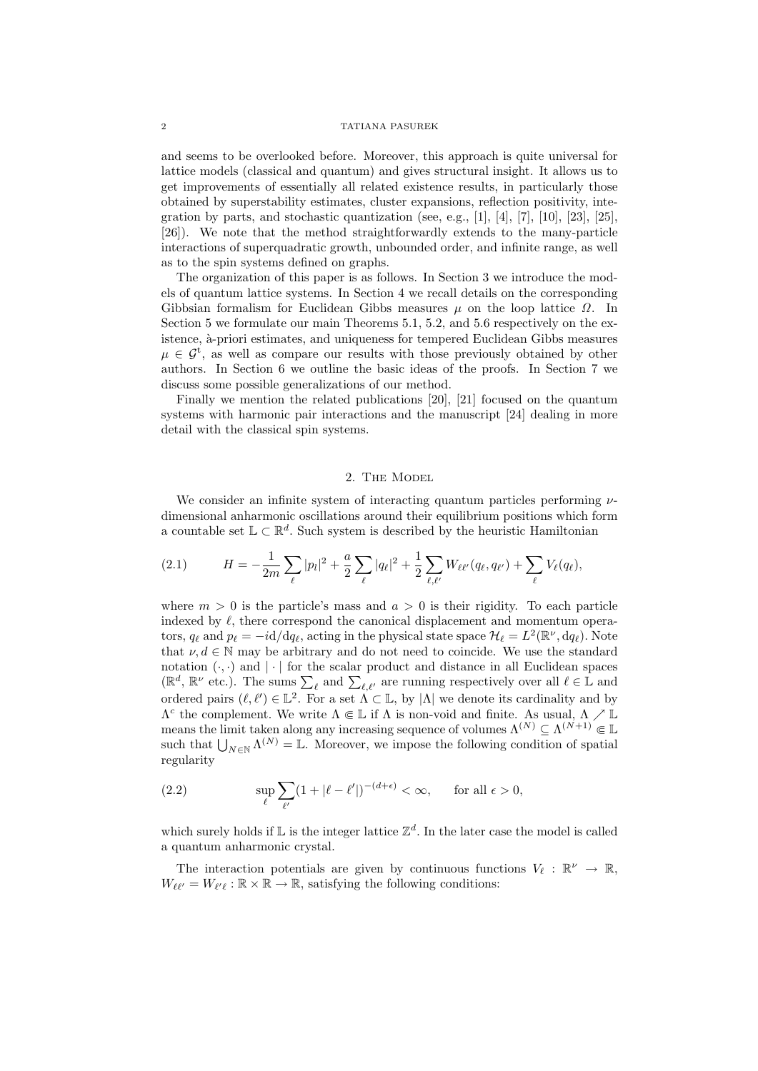and seems to be overlooked before. Moreover, this approach is quite universal for lattice models (classical and quantum) and gives structural insight. It allows us to get improvements of essentially all related existence results, in particularly those obtained by superstability estimates, cluster expansions, reflection positivity, integration by parts, and stochastic quantization (see, e.g., [1], [4], [7], [10], [23], [25], [26]). We note that the method straightforwardly extends to the many-particle interactions of superquadratic growth, unbounded order, and infinite range, as well as to the spin systems defined on graphs.

The organization of this paper is as follows. In Section 3 we introduce the models of quantum lattice systems. In Section 4 we recall details on the corresponding Gibbsian formalism for Euclidean Gibbs measures  $\mu$  on the loop lattice  $\Omega$ . In Section 5 we formulate our main Theorems 5.1, 5.2, and 5.6 respectively on the existence,  $\grave{a}$ -priori estimates, and uniqueness for tempered Euclidean Gibbs measures  $\mu \in \mathcal{G}^t$ , as well as compare our results with those previously obtained by other authors. In Section 6 we outline the basic ideas of the proofs. In Section 7 we discuss some possible generalizations of our method.

Finally we mention the related publications [20], [21] focused on the quantum systems with harmonic pair interactions and the manuscript [24] dealing in more detail with the classical spin systems.

## 2. The Model

We consider an infinite system of interacting quantum particles performing  $\nu$ dimensional anharmonic oscillations around their equilibrium positions which form a countable set  $\mathbb{L} \subset \mathbb{R}^d$ . Such system is described by the heuristic Hamiltonian

(2.1) 
$$
H = -\frac{1}{2m} \sum_{\ell} |p_{\ell}|^2 + \frac{a}{2} \sum_{\ell} |q_{\ell}|^2 + \frac{1}{2} \sum_{\ell, \ell'} W_{\ell \ell'}(q_{\ell}, q_{\ell'}) + \sum_{\ell} V_{\ell}(q_{\ell}),
$$

where  $m > 0$  is the particle's mass and  $a > 0$  is their rigidity. To each particle indexed by  $\ell$ , there correspond the canonical displacement and momentum operators,  $q_\ell$  and  $p_\ell = -i d/dq_\ell$ , acting in the physical state space  $\mathcal{H}_\ell = L^2(\mathbb{R}^\nu, dq_\ell)$ . Note that  $\nu, d \in \mathbb{N}$  may be arbitrary and do not need to coincide. We use the standard notation  $(\cdot, \cdot)$  and  $|\cdot|$  for the scalar product and distance in all Euclidean spaces  $(\mathbb{R}^d, \mathbb{R}^\nu \text{ etc.}).$  The sums  $\sum_{\ell,\ell'}$  and  $\sum_{\ell,\ell'}$  are running respectively over all  $\ell \in \mathbb{L}$  and ordered pairs  $(\ell, \ell') \in \mathbb{L}^2$ . For a set  $\Lambda \subset \mathbb{L}$ , by  $|\Lambda|$  we denote its cardinality and by  $\Lambda^c$  the complement. We write  $\Lambda \Subset \mathbb{L}$  if  $\Lambda$  is non-void and finite. As usual,  $\Lambda \nearrow \mathbb{L}$ means the limit taken along any increasing sequence of volumes  $\Lambda^{(N)} \subseteq \Lambda^{(N+1)} \Subset \mathbb{L}$ such that  $\bigcup_{N\in\mathbb{N}}\Lambda^{(N)}=\mathbb{L}$ . Moreover, we impose the following condition of spatial regularity

(2.2) 
$$
\sup_{\ell} \sum_{\ell'} (1 + |\ell - \ell'|)^{-(d+\epsilon)} < \infty, \quad \text{for all } \epsilon > 0,
$$

which surely holds if  $\mathbb L$  is the integer lattice  $\mathbb Z^d$ . In the later case the model is called a quantum anharmonic crystal.

The interaction potentials are given by continuous functions  $V_\ell : \mathbb{R}^\nu \to \mathbb{R}$ ,  $W_{\ell\ell'} = W_{\ell'\ell} : \mathbb{R} \times \mathbb{R} \to \mathbb{R}$ , satisfying the following conditions: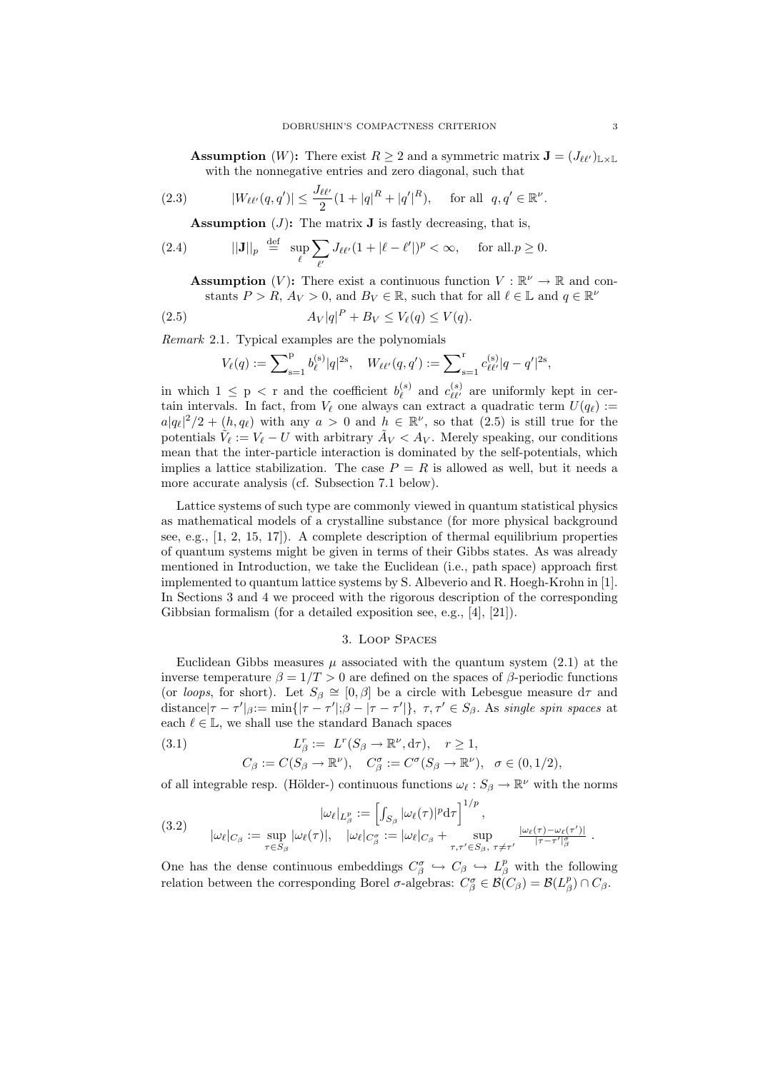**Assumption** (W): There exist  $R \geq 2$  and a symmetric matrix  $\mathbf{J} = (J_{\ell\ell'})_{\mathbb{L} \times \mathbb{L}}$ with the nonnegative entries and zero diagonal, such that

(2.3) 
$$
|W_{\ell\ell'}(q,q')| \le \frac{J_{\ell\ell'}}{2} (1+|q|^R+|q'|^R), \text{ for all } q,q' \in \mathbb{R}^{\nu}.
$$

**Assumption** (*J*): The matrix **J** is fastly decreasing, that is,

(2.4) 
$$
||\mathbf{J}||_p \stackrel{\text{def}}{=} \sup_{\ell} \sum_{\ell'} J_{\ell\ell'} (1 + |\ell - \ell'|)^p < \infty, \quad \text{for all } p \ge 0.
$$

**Assumption** (V): There exist a continuous function  $V : \mathbb{R}^{\nu} \to \mathbb{R}$  and constants  $P > R$ ,  $A_V > 0$ , and  $B_V \in \mathbb{R}$ , such that for all  $\ell \in \mathbb{L}$  and  $q \in \mathbb{R}^{\nu}$ 

$$
(2.5) \t\t\t A_V|q|^P + B_V \le V_\ell(q) \le V(q).
$$

Remark 2.1. Typical examples are the polynomials

$$
V_{\ell}(q):=\sum\nolimits_{\mathbf{s}=1}^{p}b_{\ell}^{(\mathbf{s})}|q|^{2\mathbf{s}},\quad W_{\ell\ell'}(q,q'):=\sum\nolimits_{\mathbf{s}=1}^{r}c_{\ell\ell'}^{(\mathbf{s})}|q-q'|^{2\mathbf{s}},
$$

in which  $1 \leq p \leq r$  and the coefficient  $b_{\ell}^{(s)}$  $\mathcal{C}^{(s)}_{\ell}$  and  $c^{(s)}_{\ell\ell'}$  are uniformly kept in certain intervals. In fact, from  $V_{\ell}$  one always can extract a quadratic term  $U(q_{\ell}) :=$  $a|q_\ell|^2/2 + (h, q_\ell)$  with any  $a > 0$  and  $h \in \mathbb{R}^\nu$ , so that  $(2.5)$  is still true for the potentials  $\tilde{V}_\ell := V_\ell - U$  with arbitrary  $\tilde{A}_V < A_V$ . Merely speaking, our conditions mean that the inter-particle interaction is dominated by the self-potentials, which implies a lattice stabilization. The case  $P = R$  is allowed as well, but it needs a more accurate analysis (cf. Subsection 7.1 below).

Lattice systems of such type are commonly viewed in quantum statistical physics as mathematical models of a crystalline substance (for more physical background see, e.g., [1, 2, 15, 17]). A complete description of thermal equilibrium properties of quantum systems might be given in terms of their Gibbs states. As was already mentioned in Introduction, we take the Euclidean (i.e., path space) approach first implemented to quantum lattice systems by S. Albeverio and R. Hoegh-Krohn in [1]. In Sections 3 and 4 we proceed with the rigorous description of the corresponding Gibbsian formalism (for a detailed exposition see, e.g., [4], [21]).

## 3. Loop Spaces

Euclidean Gibbs measures  $\mu$  associated with the quantum system (2.1) at the inverse temperature  $\beta = 1/T > 0$  are defined on the spaces of  $\beta$ -periodic functions (or loops, for short). Let  $S_\beta \cong [0, \beta]$  be a circle with Lebesgue measure  $d\tau$  and distance  $|\tau - \tau'|_{\beta} := \min(|\tau - \tau'|;\beta - |\tau - \tau'|$ ,  $\tau, \tau' \in S_{\beta}$ . As single spin spaces at each  $\ell \in \mathbb{L}$ , we shall use the standard Banach spaces

(3.1) 
$$
L_{\beta}^r := L^r(S_{\beta} \to \mathbb{R}^{\nu}, d\tau), \quad r \ge 1,
$$

$$
C_{\beta} := C(S_{\beta} \to \mathbb{R}^{\nu}), \quad C_{\beta}^{\sigma} := C^{\sigma}(S_{\beta} \to \mathbb{R}^{\nu}), \quad \sigma \in (0, 1/2),
$$

of all integrable resp. (Hölder-) continuous functions  $\omega_{\ell} : S_{\beta} \to \mathbb{R}^{\nu}$  with the norms

(3.2) 
$$
|\omega_{\ell}|_{L_{\beta}^p} := \left[\int_{S_{\beta}} |\omega_{\ell}(\tau)|^p \mathrm{d}\tau\right]^{1/p},
$$

$$
|\omega_{\ell}|_{C_{\beta}} := \sup_{\tau \in S_{\beta}} |\omega_{\ell}(\tau)|, \quad |\omega_{\ell}|_{C_{\beta}^{\sigma}} := |\omega_{\ell}|_{C_{\beta}} + \sup_{\tau, \tau' \in S_{\beta}, \tau \neq \tau'} \frac{|\omega_{\ell}(\tau) - \omega_{\ell}(\tau')|}{|\tau - \tau'|_{\beta}^{\sigma}}.
$$

One has the dense continuous embeddings  $C^{\sigma}_{\beta} \hookrightarrow C_{\beta} \hookrightarrow L^p_{\beta}$  with the following relation between the corresponding Borel  $\sigma$ -algebras:  $C^{\sigma}_{\beta} \in \mathcal{B}(C_{\beta}) = \mathcal{B}(L^p_{\beta}) \cap C_{\beta}$ .

.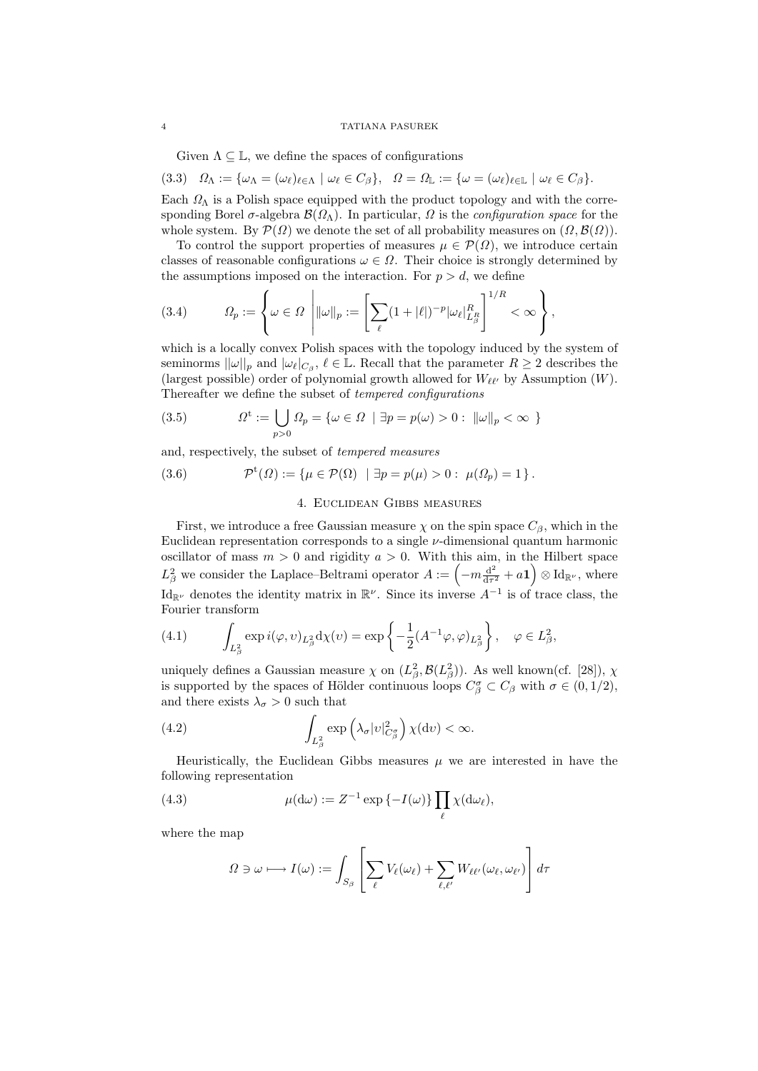Given  $\Lambda \subseteq \mathbb{L}$ , we define the spaces of configurations

(3.3)  $\Omega_{\Lambda} := {\omega_{\Lambda} = {\omega_{\ell}}|_{\ell \in \Lambda} | \omega_{\ell} \in C_{\beta}}, \quad \Omega = \Omega_{\mathbb{L}} := {\omega = {\omega_{\ell}}|_{\ell \in \mathbb{L}} | \omega_{\ell} \in C_{\beta}}.$ 

Each  $\Omega_{\Lambda}$  is a Polish space equipped with the product topology and with the corresponding Borel  $\sigma$ -algebra  $\mathcal{B}(\Omega_\Lambda)$ . In particular,  $\Omega$  is the *configuration space* for the whole system. By  $\mathcal{P}(\Omega)$  we denote the set of all probability measures on  $(\Omega, \mathcal{B}(\Omega)).$ 

To control the support properties of measures  $\mu \in \mathcal{P}(\Omega)$ , we introduce certain classes of reasonable configurations  $\omega \in \Omega$ . Their choice is strongly determined by the assumptions imposed on the interaction. For  $p > d$ , we define

(3.4) 
$$
\Omega_p := \left\{ \omega \in \Omega \, \left| \|\omega\|_p := \left[ \sum_{\ell} (1 + |\ell|)^{-p} |\omega_{\ell}|_{L_{\beta}^R}^R \right]^{1/R} < \infty \right. \right\},
$$

which is a locally convex Polish spaces with the topology induced by the system of seminorms  $||\omega||_p$  and  $|\omega_{\ell}|_{C_{\beta}}, \ell \in \mathbb{L}$ . Recall that the parameter  $R \geq 2$  describes the (largest possible) order of polynomial growth allowed for  $W_{\ell\ell'}$  by Assumption (W). Thereafter we define the subset of tempered configurations

(3.5) 
$$
\Omega^{\mathrm{t}} := \bigcup_{p>0} \Omega_p = \{ \omega \in \Omega \mid \exists p = p(\omega) > 0 : \|\omega\|_p < \infty \}
$$

and, respectively, the subset of tempered measures

(3.6) 
$$
\mathcal{P}^{t}(\Omega) := \{ \mu \in \mathcal{P}(\Omega) \mid \exists p = p(\mu) > 0 : \mu(\Omega_{p}) = 1 \}.
$$

## 4. Euclidean Gibbs measures

First, we introduce a free Gaussian measure  $\chi$  on the spin space  $C_{\beta}$ , which in the Euclidean representation corresponds to a single  $\nu$ -dimensional quantum harmonic oscillator of mass  $m > 0$  and rigidity  $a > 0$ . With this aim, in the Hilbert space  $L^2_\beta$  we consider the Laplace–Beltrami operator  $A := \left(-m\frac{d^2}{d\tau}\right)$  $\frac{d^2}{dr^2} + a\mathbf{1}$   $\bigcirc$   $\text{Id}_{\mathbb{R}^{\nu}}$ , where Id<sub>R</sub><sup> $\nu$ </sup> denotes the identity matrix in  $\mathbb{R}^{\nu}$ . Since its inverse  $A^{-1}$  is of trace class, the Fourier transform

(4.1) 
$$
\int_{L^2_{\beta}} \exp i(\varphi, v)_{L^2_{\beta}} d\chi(v) = \exp \left\{-\frac{1}{2} (A^{-1}\varphi, \varphi)_{L^2_{\beta}}\right\}, \quad \varphi \in L^2_{\beta},
$$

uniquely defines a Gaussian measure  $\chi$  on  $(L_\beta^2, \mathcal{B}(L_\beta^2))$ . As well known(cf. [28]),  $\chi$ is supported by the spaces of Hölder continuous loops  $C^{\sigma}_{\beta} \subset C_{\beta}$  with  $\sigma \in (0, 1/2)$ , and there exists  $\lambda_{\sigma} > 0$  such that

(4.2) 
$$
\int_{L^2_{\beta}} \exp\left(\lambda_{\sigma} |v|^2_{C^{\sigma}_{\beta}}\right) \chi(\mathrm{d}v) < \infty.
$$

Heuristically, the Euclidean Gibbs measures  $\mu$  we are interested in have the following representation

(4.3) 
$$
\mu(\mathrm{d}\omega) := Z^{-1} \exp\left\{-I(\omega)\right\} \prod_{\ell} \chi(\mathrm{d}\omega_{\ell}),
$$

where the map

$$
\Omega \ni \omega \longmapsto I(\omega) := \int_{S_{\beta}} \left[ \sum_{\ell} V_{\ell}(\omega_{\ell}) + \sum_{\ell, \ell'} W_{\ell \ell'}(\omega_{\ell}, \omega_{\ell'}) \right] d\tau
$$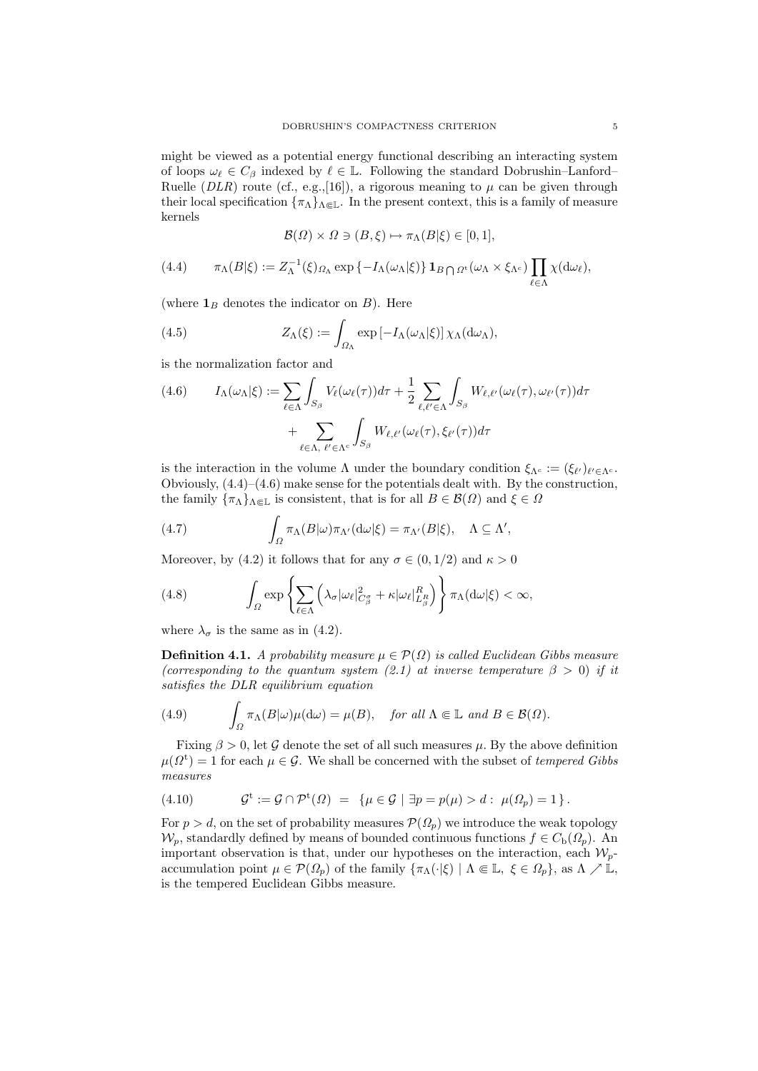might be viewed as a potential energy functional describing an interacting system of loops  $\omega_\ell \in C_\beta$  indexed by  $\ell \in \mathbb{L}$ . Following the standard Dobrushin–Lanford– Ruelle (*DLR*) route (cf., e.g.,[16]), a rigorous meaning to  $\mu$  can be given through their local specification  $\{\pi_\Lambda\}_{\Lambda \Subset \mathbb{L}}$ . In the present context, this is a family of measure kernels

$$
\mathcal{B}(\Omega) \times \Omega \ni (B,\xi) \mapsto \pi_{\Lambda}(B|\xi) \in [0,1],
$$

(4.4) 
$$
\pi_{\Lambda}(B|\xi) := Z_{\Lambda}^{-1}(\xi)_{\Omega_{\Lambda}} \exp \{-I_{\Lambda}(\omega_{\Lambda}|\xi)\} \mathbf{1}_{B \bigcap \Omega^{t}}(\omega_{\Lambda} \times \xi_{\Lambda^{c}}) \prod_{\ell \in \Lambda} \chi(\mathrm{d}\omega_{\ell}),
$$

(where  $\mathbf{1}_B$  denotes the indicator on  $B$ ). Here

(4.5) 
$$
Z_{\Lambda}(\xi) := \int_{\Omega_{\Lambda}} \exp \left[ -I_{\Lambda}(\omega_{\Lambda}|\xi) \right] \chi_{\Lambda}(d\omega_{\Lambda}),
$$

is the normalization factor and

$$
(4.6) \qquad I_{\Lambda}(\omega_{\Lambda}|\xi) := \sum_{\ell \in \Lambda} \int_{S_{\beta}} V_{\ell}(\omega_{\ell}(\tau)) d\tau + \frac{1}{2} \sum_{\ell, \ell' \in \Lambda} \int_{S_{\beta}} W_{\ell, \ell'}(\omega_{\ell}(\tau), \omega_{\ell'}(\tau)) d\tau + \sum_{\ell \in \Lambda, \ \ell' \in \Lambda^c} \int_{S_{\beta}} W_{\ell, \ell'}(\omega_{\ell}(\tau), \xi_{\ell'}(\tau)) d\tau
$$

is the interaction in the volume  $\Lambda$  under the boundary condition  $\xi_{\Lambda^c} := (\xi_{\ell'})_{\ell' \in \Lambda^c}$ . Obviously, (4.4)–(4.6) make sense for the potentials dealt with. By the construction, the family  $\{\pi_{\Lambda}\}_{{\Lambda}\Subset {\mathbb L}}$  is consistent, that is for all  $B\in{\mathcal B}(\Omega)$  and  $\xi\in\Omega$ 

(4.7) 
$$
\int_{\Omega} \pi_{\Lambda}(B|\omega)\pi_{\Lambda'}(\mathrm{d}\omega|\xi) = \pi_{\Lambda'}(B|\xi), \quad \Lambda \subseteq \Lambda',
$$

Moreover, by (4.2) it follows that for any  $\sigma \in (0, 1/2)$  and  $\kappa > 0$ 

(4.8) 
$$
\int_{\Omega} \exp \left\{ \sum_{\ell \in \Lambda} \left( \lambda_{\sigma} |\omega_{\ell}|_{C_{\beta}^{\sigma}}^{2} + \kappa |\omega_{\ell}|_{L_{\beta}^{R}}^{R} \right) \right\} \pi_{\Lambda} (d\omega |\xi) < \infty,
$$

where  $\lambda_{\sigma}$  is the same as in (4.2).

**Definition 4.1.** A probability measure  $\mu \in \mathcal{P}(\Omega)$  is called Euclidean Gibbs measure (corresponding to the quantum system (2.1) at inverse temperature  $\beta > 0$ ) if it satisfies the DLR equilibrium equation

(4.9) 
$$
\int_{\Omega} \pi_{\Lambda}(B|\omega)\mu(\mathrm{d}\omega) = \mu(B), \text{ for all } \Lambda \Subset \mathbb{L} \text{ and } B \in \mathcal{B}(\Omega).
$$

Fixing  $\beta > 0$ , let G denote the set of all such measures  $\mu$ . By the above definition  $\mu(\Omega^{\rm t}) = 1$  for each  $\mu \in \mathcal{G}$ . We shall be concerned with the subset of tempered Gibbs measures

(4.10) 
$$
\mathcal{G}^{\mathsf{t}} := \mathcal{G} \cap \mathcal{P}^{\mathsf{t}}(\Omega) = \{ \mu \in \mathcal{G} \mid \exists p = p(\mu) > d : \mu(\Omega_p) = 1 \}.
$$

For  $p > d$ , on the set of probability measures  $\mathcal{P}(\Omega_p)$  we introduce the weak topology  $\mathcal{W}_p$ , standardly defined by means of bounded continuous functions  $f \in C_{\rm b}(\Omega_p)$ . An important observation is that, under our hypotheses on the interaction, each  $W_p$ accumulation point  $\mu \in \mathcal{P}(\Omega_p)$  of the family  $\{\pi_\Lambda(\cdot|\xi) \mid \Lambda \in \mathbb{L}, \xi \in \Omega_p\}$ , as  $\Lambda \nearrow \mathbb{L}$ , is the tempered Euclidean Gibbs measure.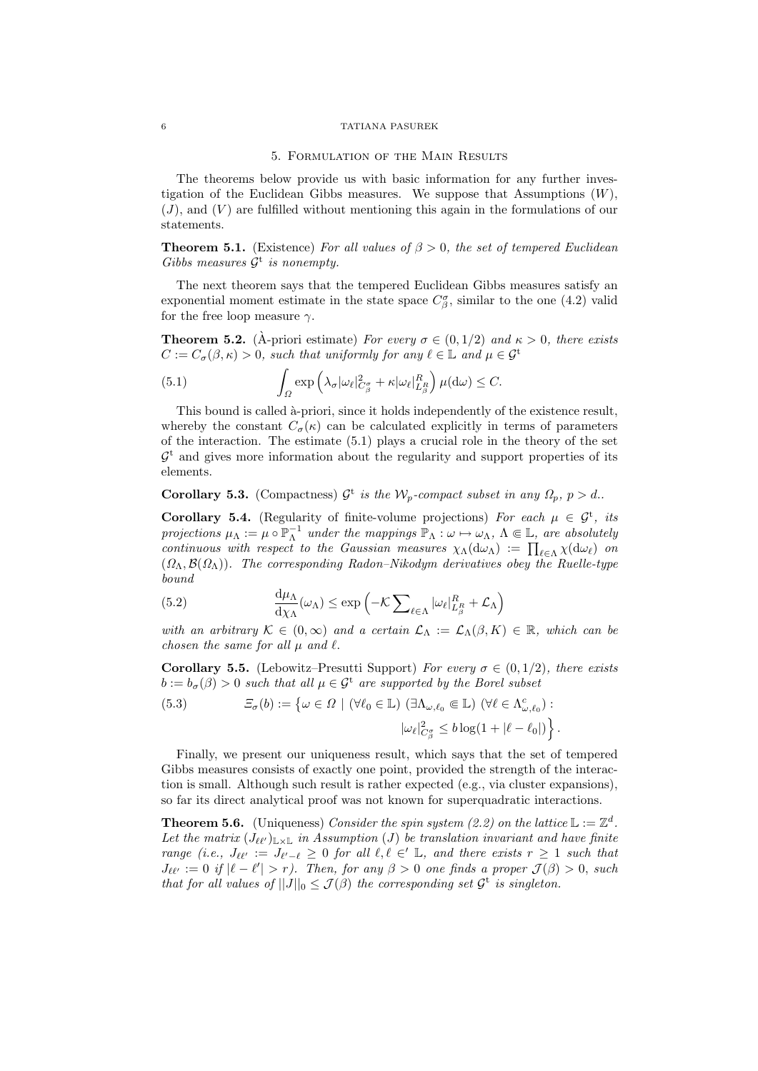#### 5. Formulation of the Main Results

The theorems below provide us with basic information for any further investigation of the Euclidean Gibbs measures. We suppose that Assumptions  $(W)$ ,  $(J)$ , and  $(V)$  are fulfilled without mentioning this again in the formulations of our statements.

**Theorem 5.1.** (Existence) For all values of  $\beta > 0$ , the set of tempered Euclidean Gibbs measures  $\mathcal{G}^t$  is nonempty.

The next theorem says that the tempered Euclidean Gibbs measures satisfy an exponential moment estimate in the state space  $C_{\beta}^{\sigma}$ , similar to the one (4.2) valid for the free loop measure  $\gamma$ .

**Theorem 5.2.** (A-priori estimate) For every  $\sigma \in (0, 1/2)$  and  $\kappa > 0$ , there exists  $C := C_{\sigma}(\beta, \kappa) > 0$ , such that uniformly for any  $\ell \in \mathbb{L}$  and  $\mu \in \mathcal{G}^t$ 

(5.1) 
$$
\int_{\Omega} \exp \left( \lambda_{\sigma} |\omega_{\ell}|_{C_{\beta}^{\sigma}}^{2} + \kappa |\omega_{\ell}|_{L_{\beta}^{R}}^{R} \right) \mu(\mathrm{d}\omega) \leq C.
$$

This bound is called  $\alpha$ -priori, since it holds independently of the existence result, whereby the constant  $C_{\sigma}(\kappa)$  can be calculated explicitly in terms of parameters of the interaction. The estimate  $(5.1)$  plays a crucial role in the theory of the set  $\mathcal{G}^t$  and gives more information about the regularity and support properties of its elements.

**Corollary 5.3.** (Compactness)  $\mathcal{G}^t$  is the  $\mathcal{W}_p$ -compact subset in any  $\Omega_p$ ,  $p > d$ .

**Corollary 5.4.** (Regularity of finite-volume projections) For each  $\mu \in \mathcal{G}^t$ , its projections  $\mu_{\Lambda} := \mu \circ \mathbb{P}_{\Lambda}^{-1}$  under the mappings  $\mathbb{P}_{\Lambda} : \omega \mapsto \omega_{\Lambda}, \Lambda \Subset \mathbb{L}$ , are absolutely continuous with respect to the Gaussian measures  $\chi_{\Lambda}(\mathrm{d}\omega_{\Lambda}) := \prod_{\ell \in \Lambda} \chi(\mathrm{d}\omega_{\ell})$  on  $(\Omega_{\Lambda}, \mathcal{B}(\Omega_{\Lambda}))$ . The corresponding Radon–Nikodym derivatives obey the Ruelle-type bound

(5.2) 
$$
\frac{d\mu_{\Lambda}}{d\chi_{\Lambda}}(\omega_{\Lambda}) \leq \exp\left(-\mathcal{K}\sum_{\ell \in \Lambda} |\omega_{\ell}|_{L_{\beta}^{R}}^{R} + \mathcal{L}_{\Lambda}\right)
$$

with an arbitrary  $\mathcal{K} \in (0,\infty)$  and a certain  $\mathcal{L}_{\Lambda} := \mathcal{L}_{\Lambda}(\beta,K) \in \mathbb{R}$ , which can be chosen the same for all  $\mu$  and  $\ell$ .

**Corollary 5.5.** (Lebowitz–Presutti Support) For every  $\sigma \in (0, 1/2)$ , there exists  $b := b_{\sigma}(\beta) > 0$  such that all  $\mu \in \mathcal{G}^t$  are supported by the Borel subset

(5.3) 
$$
\mathcal{Z}_{\sigma}(b) := \left\{ \omega \in \Omega \mid (\forall \ell_0 \in \mathbb{L}) \ (\exists \Lambda_{\omega,\ell_0} \in \mathbb{L}) \ (\forall \ell \in \Lambda_{\omega,\ell_0}^c) : \\ |\omega_{\ell}|^2_{C_{\beta}^{\sigma}} \leq b \log(1 + |\ell - \ell_0|) \right\}.
$$

Finally, we present our uniqueness result, which says that the set of tempered Gibbs measures consists of exactly one point, provided the strength of the interaction is small. Although such result is rather expected (e.g., via cluster expansions), so far its direct analytical proof was not known for superquadratic interactions.

**Theorem 5.6.** (Uniqueness) Consider the spin system (2.2) on the lattice  $\mathbb{L} := \mathbb{Z}^d$ . Let the matrix  $(J_{\ell\ell'})_{\mathbb{L}\times\mathbb{L}}$  in Assumption (J) be translation invariant and have finite range (i.e.,  $J_{\ell\ell'} := J_{\ell'-\ell} \geq 0$  for all  $\ell, \ell \in I$ , and there exists  $r \geq 1$  such that  $J_{\ell\ell'} := 0$  if  $|\ell - \ell'| > r$ ). Then, for any  $\beta > 0$  one finds a proper  $\mathcal{J}(\beta) > 0$ , such that for all values of  $||J||_0 \leq \mathcal{J}(\beta)$  the corresponding set  $\mathcal{G}^t$  is singleton.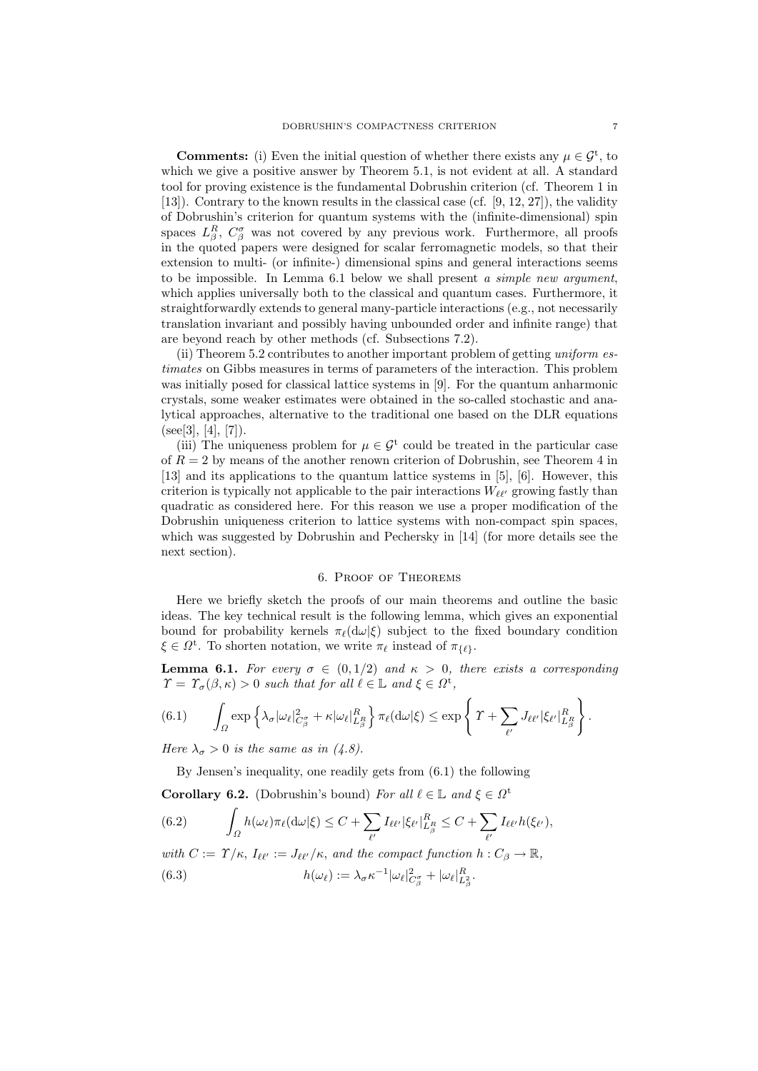**Comments:** (i) Even the initial question of whether there exists any  $\mu \in \mathcal{G}^t$ , to which we give a positive answer by Theorem 5.1, is not evident at all. A standard tool for proving existence is the fundamental Dobrushin criterion (cf. Theorem 1 in [13]). Contrary to the known results in the classical case (cf. [9, 12, 27]), the validity of Dobrushin's criterion for quantum systems with the (infinite-dimensional) spin spaces  $L^R_\beta$ ,  $C^{\sigma}_{\beta}$  was not covered by any previous work. Furthermore, all proofs in the quoted papers were designed for scalar ferromagnetic models, so that their extension to multi- (or infinite-) dimensional spins and general interactions seems to be impossible. In Lemma  $6.1$  below we shall present a simple new argument, which applies universally both to the classical and quantum cases. Furthermore, it straightforwardly extends to general many-particle interactions (e.g., not necessarily translation invariant and possibly having unbounded order and infinite range) that are beyond reach by other methods (cf. Subsections 7.2).

(ii) Theorem 5.2 contributes to another important problem of getting uniform estimates on Gibbs measures in terms of parameters of the interaction. This problem was initially posed for classical lattice systems in [9]. For the quantum anharmonic crystals, some weaker estimates were obtained in the so-called stochastic and analytical approaches, alternative to the traditional one based on the DLR equations  $(see [3], [4], [7]).$ 

(iii) The uniqueness problem for  $\mu \in \mathcal{G}^t$  could be treated in the particular case of  $R = 2$  by means of the another renown criterion of Dobrushin, see Theorem 4 in [13] and its applications to the quantum lattice systems in [5], [6]. However, this criterion is typically not applicable to the pair interactions  $W_{\ell\ell'}$  growing fastly than quadratic as considered here. For this reason we use a proper modification of the Dobrushin uniqueness criterion to lattice systems with non-compact spin spaces, which was suggested by Dobrushin and Pechersky in [14] (for more details see the next section).

### 6. Proof of Theorems

Here we briefly sketch the proofs of our main theorems and outline the basic ideas. The key technical result is the following lemma, which gives an exponential bound for probability kernels  $\pi_{\ell}(d\omega|\xi)$  subject to the fixed boundary condition  $\xi \in \Omega^{\mathsf{t}}$ . To shorten notation, we write  $\pi_{\ell}$  instead of  $\pi_{\{\ell\}}$ .

**Lemma 6.1.** For every  $\sigma \in (0, 1/2)$  and  $\kappa > 0$ , there exists a corresponding  $\Upsilon = \Upsilon_{\sigma}(\beta, \kappa) > 0$  such that for all  $\ell \in \mathbb{L}$  and  $\xi \in \Omega^{\text{t}}$ ,

$$
(6.1) \qquad \int_{\Omega} \exp \left\{ \lambda_{\sigma} |\omega_{\ell}|^2_{C_{\beta}^{\sigma}} + \kappa |\omega_{\ell}|^R_{L_{\beta}^R} \right\} \pi_{\ell}(\mathrm{d}\omega|\xi) \leq \exp \left\{ \left. \Upsilon + \sum_{\ell'} J_{\ell\ell'} |\xi_{\ell'}|^R_{L_{\beta}^R} \right\} \right\}.
$$

Here  $\lambda_{\sigma} > 0$  is the same as in (4.8).

By Jensen's inequality, one readily gets from (6.1) the following

**Corollary 6.2.** (Dobrushin's bound) For all  $\ell \in \mathbb{L}$  and  $\xi \in \Omega^t$ 

(6.2) 
$$
\int_{\Omega} h(\omega_{\ell}) \pi_{\ell}(\mathrm{d}\omega|\xi) \leq C + \sum_{\ell'} I_{\ell \ell'} |\xi_{\ell'}|_{L_{\beta}^{R}}^{R} \leq C + \sum_{\ell'} I_{\ell \ell'} h(\xi_{\ell'}),
$$

with 
$$
C := \Upsilon/\kappa
$$
,  $I_{\ell\ell'} := J_{\ell\ell'}/\kappa$ , and the compact function  $h : C_\beta \to \mathbb{R}$ ,  
(6.3) 
$$
h(\omega_\ell) := \lambda_\sigma \kappa^{-1} |\omega_\ell|_{C_\beta}^2 + |\omega_\ell|_{L_\beta}^R.
$$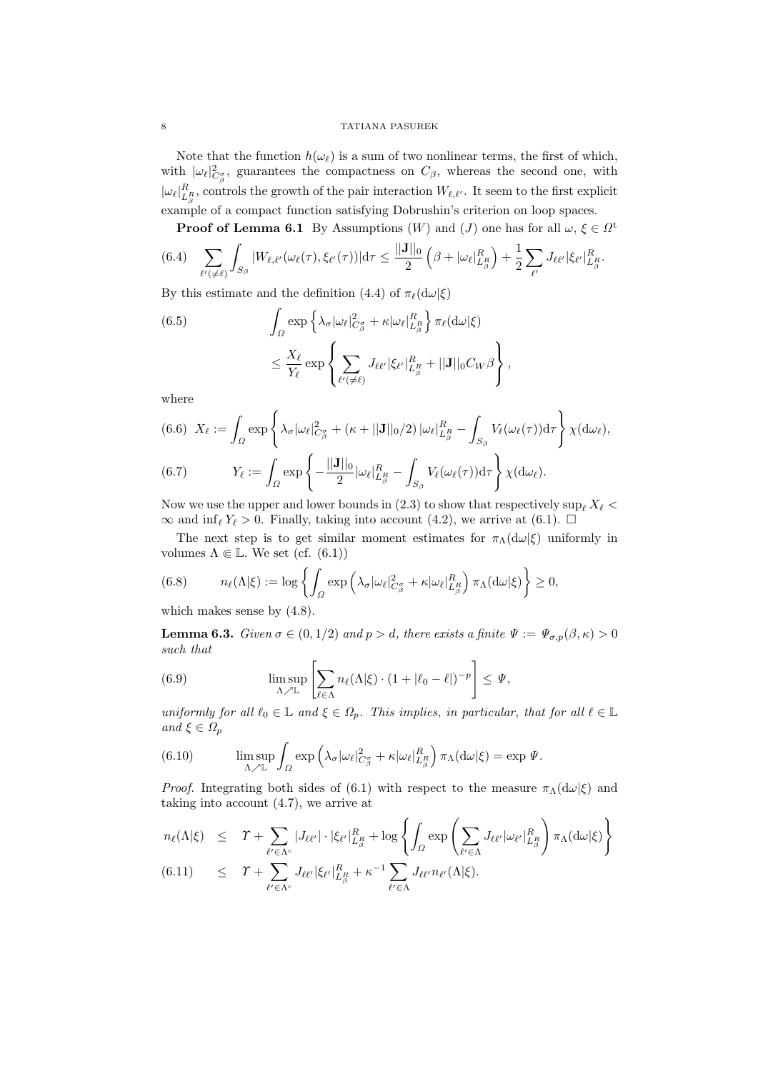Note that the function  $h(\omega_{\ell})$  is a sum of two nonlinear terms, the first of which, with  $|\omega_{\ell}|^2_{C^{\sigma}_{\beta}}$ , guarantees the compactness on  $C_{\beta}$ , whereas the second one, with  $|\omega_{\ell}|_{L_{\beta}^R}^R$ , controls the growth of the pair interaction  $W_{\ell,\ell'}$ . It seem to the first explicit example of a compact function satisfying Dobrushin's criterion on loop spaces.

**Proof of Lemma 6.1** By Assumptions  $(W)$  and  $(J)$  one has for all  $\omega, \xi \in \Omega^{\mathfrak{t}}$ 

$$
(6.4) \quad \sum_{\ell' \in \ell} \int_{S_{\beta}} |W_{\ell,\ell'}(\omega_{\ell}(\tau),\xi_{\ell'}(\tau))| d\tau \leq \frac{||\mathbf{J}||_0}{2} \left(\beta + |\omega_{\ell}|_{L_{\beta}^R}^R\right) + \frac{1}{2} \sum_{\ell'} J_{\ell\ell'} |\xi_{\ell'}|_{L_{\beta}^R}^R.
$$

By this estimate and the definition (4.4) of  $\pi_{\ell}(\mathrm{d}\omega|\xi)$ 

(6.5) 
$$
\int_{\Omega} \exp \left\{ \lambda_{\sigma} |\omega_{\ell}|_{C_{\beta}^{\sigma}}^2 + \kappa |\omega_{\ell}|_{L_{\beta}^{R}}^{R} \right\} \pi_{\ell} (d\omega|\xi)
$$

$$
\leq \frac{X_{\ell}}{Y_{\ell}} \exp \left\{ \sum_{\ell'(\neq \ell)} J_{\ell \ell'} |\xi_{\ell'}|_{L_{\beta}^{R}}^{R} + ||\mathbf{J}||_{0} C_{W} \beta \right\},
$$

where

(6.6) 
$$
X_{\ell} := \int_{\Omega} \exp \left\{ \lambda_{\sigma} |\omega_{\ell}|_{C_{\beta}^{\sigma}}^2 + (\kappa + ||\mathbf{J}||_0/2) |\omega_{\ell}|_{L_{\beta}^R}^R - \int_{S_{\beta}} V_{\ell}(\omega_{\ell}(\tau)) d\tau \right\} \chi(d\omega_{\ell}),
$$
  
(6.7) 
$$
Y_{\ell} := \int_{\Omega} \exp \left\{ -\frac{||\mathbf{J}||_0}{2} |\omega_{\ell}|_{L_{\beta}^R}^R - \int_{S_{\beta}} V_{\ell}(\omega_{\ell}(\tau)) d\tau \right\} \chi(d\omega_{\ell}).
$$

Now we use the upper and lower bounds in (2.3) to show that respectively sup  $X_{\ell}$  <  $\infty$  and inf<sub>l</sub>  $Y_{\ell} > 0$ . Finally, taking into account (4.2), we arrive at (6.1).  $\Box$ 

The next step is to get similar moment estimates for  $\pi_{\Lambda}(d\omega|\xi)$  uniformly in volumes  $\Lambda \Subset \mathbb{L}$ . We set (cf. (6.1))

(6.8) 
$$
n_{\ell}(\Lambda|\xi) := \log \left\{ \int_{\Omega} \exp \left( \lambda_{\sigma} |\omega_{\ell}|_{C_{\beta}^{\sigma}}^2 + \kappa |\omega_{\ell}|_{L_{\beta}^{R}}^R \right) \pi_{\Lambda} (d\omega|\xi) \right\} \geq 0,
$$

which makes sense by (4.8).

**Lemma 6.3.** Given  $\sigma \in (0, 1/2)$  and  $p > d$ , there exists a finite  $\Psi := \Psi_{\sigma, p}(\beta, \kappa) > 0$ such that

(6.9) 
$$
\limsup_{\Lambda \nearrow \mathbb{L}} \left[ \sum_{\ell \in \Lambda} n_{\ell}(\Lambda | \xi) \cdot (1 + |\ell_0 - \ell|)^{-p} \right] \leq \Psi,
$$

uniformly for all  $\ell_0 \in \mathbb{L}$  and  $\xi \in \Omega_p$ . This implies, in particular, that for all  $\ell \in \mathbb{L}$ and  $\xi \in \Omega_p$ 

(6.10) 
$$
\limsup_{\Lambda \nearrow \mathbb{L}} \int_{\Omega} \exp \left( \lambda_{\sigma} |\omega_{\ell}|_{C_{\beta}^{\sigma}}^2 + \kappa |\omega_{\ell}|_{L_{\beta}^{R}}^R \right) \pi_{\Lambda} (d\omega |\xi) = \exp \Psi.
$$

*Proof.* Integrating both sides of (6.1) with respect to the measure  $\pi_{\Lambda}(d\omega|\xi)$  and taking into account (4.7), we arrive at

$$
n_{\ell}(\Lambda|\xi) \leq \Upsilon + \sum_{\ell' \in \Lambda^c} |J_{\ell\ell'}| \cdot |\xi_{\ell'}|_{L_{\beta}^R}^R + \log \left\{ \int_{\Omega} \exp \left( \sum_{\ell' \in \Lambda} J_{\ell\ell'} |\omega_{\ell'}|_{L_{\beta}^R}^R \right) \pi_{\Lambda}(\mathrm{d}\omega|\xi) \right\}
$$
  
(6.11) 
$$
\leq \Upsilon + \sum_{\ell' \in \Lambda^c} J_{\ell\ell'} |\xi_{\ell'}|_{L_{\beta}^R}^R + \kappa^{-1} \sum_{\ell' \in \Lambda} J_{\ell\ell'} n_{\ell'}(\Lambda|\xi).
$$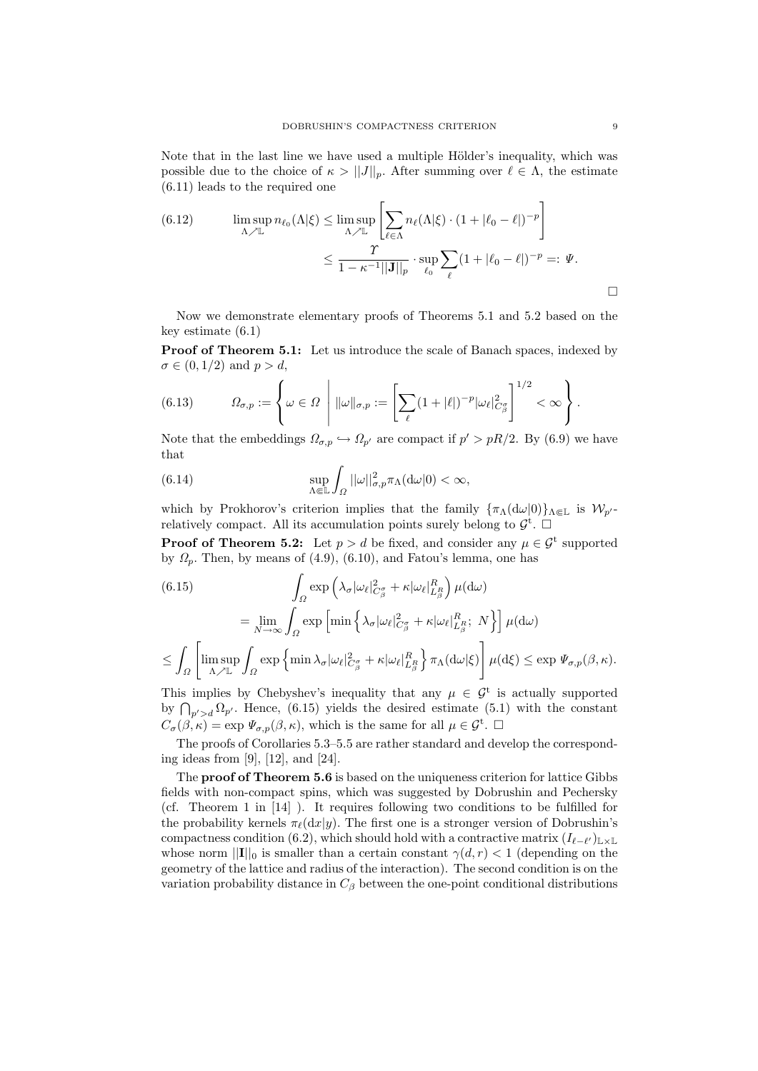Note that in the last line we have used a multiple Hölder's inequality, which was possible due to the choice of  $\kappa > ||J||_p$ . After summing over  $\ell \in \Lambda$ , the estimate (6.11) leads to the required one

(6.12) 
$$
\limsup_{\Lambda \nearrow \mathbb{L}} n_{\ell_0}(\Lambda|\xi) \leq \limsup_{\Lambda \nearrow \mathbb{L}} \left[ \sum_{\ell \in \Lambda} n_{\ell}(\Lambda|\xi) \cdot (1 + |\ell_0 - \ell|)^{-p} \right]
$$

$$
\leq \frac{T}{1 - \kappa^{-1} ||\mathbf{J}||_p} \cdot \sup_{\ell_0} \sum_{\ell} (1 + |\ell_0 - \ell|)^{-p} =: \Psi.
$$

Now we demonstrate elementary proofs of Theorems 5.1 and 5.2 based on the key estimate (6.1)

Proof of Theorem 5.1: Let us introduce the scale of Banach spaces, indexed by  $\sigma \in (0, 1/2)$  and  $p > d$ ,

(6.13) 
$$
\Omega_{\sigma,p} := \left\{ \omega \in \Omega \ \middle| \ \|\omega\|_{\sigma,p} := \left[ \sum_{\ell} (1 + |\ell|)^{-p} |\omega_{\ell}|^2_{C_{\beta}^{\sigma}} \right]^{1/2} < \infty \right\}.
$$

Note that the embeddings  $\Omega_{\sigma,p} \hookrightarrow \Omega_{p'}$  are compact if  $p' > pR/2$ . By (6.9) we have that

(6.14) 
$$
\sup_{\Lambda \Subset \mathbb{L}} \int_{\Omega} ||\omega||_{\sigma,p}^2 \pi_{\Lambda}(d\omega|0) < \infty,
$$

which by Prokhorov's criterion implies that the family  $\{\pi_{\Lambda}(d\omega|0)\}_{\Lambda\Subset\mathbb{L}}$  is  $\mathcal{W}_{p'}$ relatively compact. All its accumulation points surely belong to  $\mathcal{G}^{\dagger}$ .

**Proof of Theorem 5.2:** Let  $p > d$  be fixed, and consider any  $\mu \in \mathcal{G}^t$  supported by  $\Omega_p$ . Then, by means of (4.9), (6.10), and Fatou's lemma, one has

(6.15)  
\n
$$
\int_{\Omega} \exp \left( \lambda_{\sigma} |\omega_{\ell}|_{C_{\beta}^{\sigma}}^{2} + \kappa |\omega_{\ell}|_{L_{\beta}^{R}}^{R} \right) \mu(\mathrm{d}\omega)
$$
\n
$$
= \lim_{N \to \infty} \int_{\Omega} \exp \left[ \min \left\{ \lambda_{\sigma} |\omega_{\ell}|_{C_{\beta}^{\sigma}}^{2} + \kappa |\omega_{\ell}|_{L_{\beta}^{R}}^{R}; N \right\} \right] \mu(\mathrm{d}\omega)
$$
\n
$$
\leq \int_{\Omega} \left[ \limsup_{\Lambda \nearrow \mathbb{L}} \int_{\Omega} \exp \left\{ \min \lambda_{\sigma} |\omega_{\ell}|_{C_{\beta}^{\sigma}}^{2} + \kappa |\omega_{\ell}|_{L_{\beta}^{R}}^{R} \right\} \pi_{\Lambda}(\mathrm{d}\omega|\xi) \right] \mu(\mathrm{d}\xi) \leq \exp \Psi_{\sigma,p}(\beta, \kappa).
$$

This implies by Chebyshev's inequality that any  $\mu \in \mathcal{G}^t$  is actually supported by  $\bigcap_{p'>d} \Omega_{p'}$ . Hence, (6.15) yields the desired estimate (5.1) with the constant  $C_{\sigma}(\beta,\kappa) = \exp \Psi_{\sigma,p}(\beta,\kappa)$ , which is the same for all  $\mu \in \mathcal{G}^{\text{t}}$ .

The proofs of Corollaries 5.3–5.5 are rather standard and develop the corresponding ideas from [9], [12], and [24].

The proof of Theorem 5.6 is based on the uniqueness criterion for lattice Gibbs fields with non-compact spins, which was suggested by Dobrushin and Pechersky (cf. Theorem 1 in [14] ). It requires following two conditions to be fulfilled for the probability kernels  $\pi_{\ell}(\text{d}x|y)$ . The first one is a stronger version of Dobrushin's compactness condition (6.2), which should hold with a contractive matrix  $(I_{\ell-\ell'})_{\mathbb{L}\times\mathbb{L}}$ whose norm  $||\mathbf{I}||_0$  is smaller than a certain constant  $\gamma(d, r) < 1$  (depending on the geometry of the lattice and radius of the interaction). The second condition is on the variation probability distance in  $C_\beta$  between the one-point conditional distributions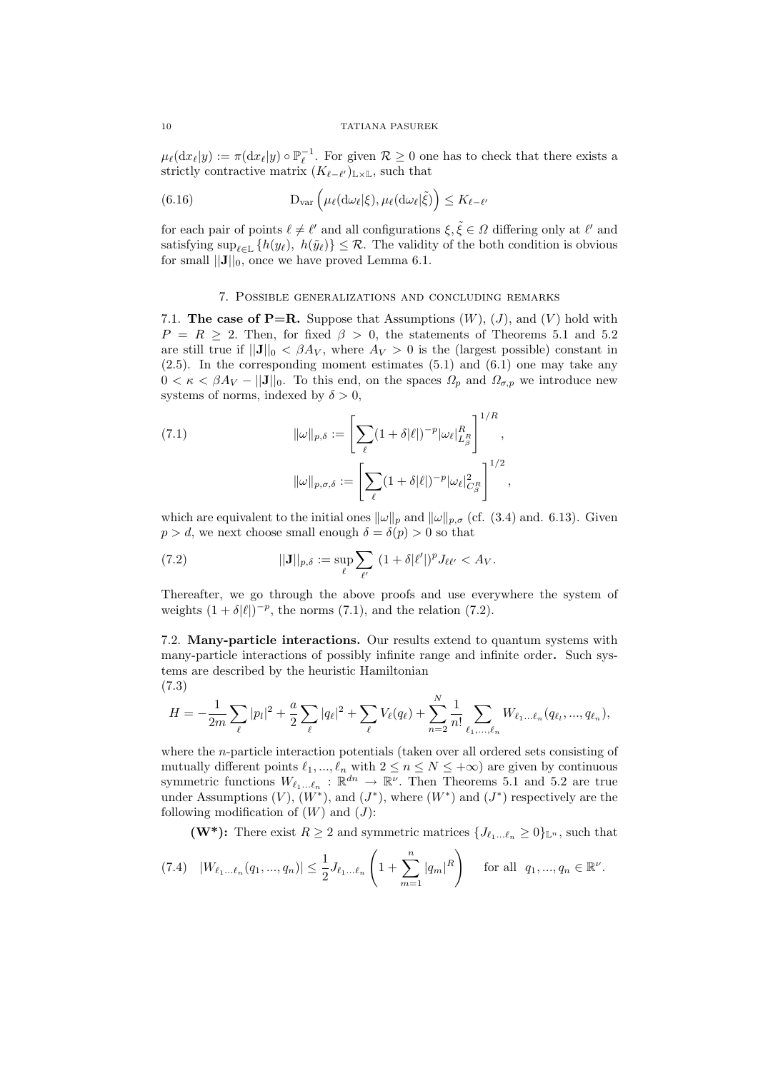$\mu_{\ell}(dx_{\ell}|y) := \pi(dx_{\ell}|y) \circ \mathbb{P}_{\ell}^{-1}$ . For given  $\mathcal{R} \geq 0$  one has to check that there exists a strictly contractive matrix  $(K_{\ell-\ell'})_{\mathbb{L}\times\mathbb{L}}$ , such that

(6.16) 
$$
D_{var} \left( \mu_{\ell}(d\omega_{\ell}|\xi), \mu_{\ell}(d\omega_{\ell}|\tilde{\xi}) \right) \leq K_{\ell-\ell'}
$$

for each pair of points  $\ell \neq \ell'$  and all configurations  $\xi, \tilde{\xi} \in \Omega$  differing only at  $\ell'$  and satisfying  $\sup_{\ell \in \mathbb{L}} \{h(y_\ell), h(\tilde{y}_\ell)\} \leq \mathcal{R}$ . The validity of the both condition is obvious for small  $||\mathbf{J}||_0$ , once we have proved Lemma 6.1.

## 7. Possible generalizations and concluding remarks

7.1. The case of P=R. Suppose that Assumptions  $(W)$ ,  $(J)$ , and  $(V)$  hold with  $P = R \geq 2$ . Then, for fixed  $\beta > 0$ , the statements of Theorems 5.1 and 5.2 are still true if  $||\mathbf{J}||_0 < \beta A_V$ , where  $A_V > 0$  is the (largest possible) constant in (2.5). In the corresponding moment estimates (5.1) and (6.1) one may take any  $0 < \kappa < \beta A_V - ||\mathbf{J}||_0$ . To this end, on the spaces  $\Omega_p$  and  $\Omega_{\sigma,p}$  we introduce new systems of norms, indexed by  $\delta > 0$ ,

(7.1) 
$$
\|\omega\|_{p,\delta} := \left[\sum_{\ell} (1+\delta|\ell|)^{-p} |\omega_{\ell}|_{L_{\beta}^R}^R\right]^{1/R},
$$

$$
\|\omega\|_{p,\sigma,\delta} := \left[\sum_{\ell} (1+\delta|\ell|)^{-p} |\omega_{\ell}|_{C_{\beta}^R}^2\right]^{1/2},
$$

which are equivalent to the initial ones  $\|\omega\|_p$  and  $\|\omega\|_{p,\sigma}$  (cf. (3.4) and. 6.13). Given  $p > d$ , we next choose small enough  $\delta = \delta(p) > 0$  so that

(7.2) 
$$
||\mathbf{J}||_{p,\delta} := \sup_{\ell} \sum_{\ell'} (1 + \delta |\ell'|)^p J_{\ell \ell'} < A_V.
$$

Thereafter, we go through the above proofs and use everywhere the system of weights  $(1 + \delta |\ell|)^{-p}$ , the norms (7.1), and the relation (7.2).

7.2. Many-particle interactions. Our results extend to quantum systems with many-particle interactions of possibly infinite range and infinite order. Such systems are described by the heuristic Hamiltonian (7.3)

$$
H = -\frac{1}{2m} \sum_{\ell} |p_l|^2 + \frac{a}{2} \sum_{\ell} |q_{\ell}|^2 + \sum_{\ell} V_{\ell}(q_{\ell}) + \sum_{n=2}^{N} \frac{1}{n!} \sum_{\ell_1, ..., \ell_n} W_{\ell_1... \ell_n}(q_{\ell_1}, ..., q_{\ell_n}),
$$

where the n-particle interaction potentials (taken over all ordered sets consisting of mutually different points  $\ell_1, ..., \ell_n$  with  $2 \le n \le N \le +\infty$ ) are given by continuous symmetric functions  $W_{\ell_1...\ell_n} : \mathbb{R}^{dn} \to \mathbb{R}^{\nu}$ . Then Theorems 5.1 and 5.2 are true under Assumptions  $(V)$ ,  $(W^*)$ , and  $(J^*)$ , where  $(W^*)$  and  $(J^*)$  respectively are the following modification of  $(W)$  and  $(J)$ :

(W<sup>\*</sup>): There exist  $R \geq 2$  and symmetric matrices  $\{J_{\ell_1...\ell_n} \geq 0\}_{\mathbb{L}^n}$ , such that

$$
(7.4) \quad |W_{\ell_1...\ell_n}(q_1,...,q_n)| \leq \frac{1}{2} J_{\ell_1...\ell_n} \left(1 + \sum_{m=1}^n |q_m|^R\right) \quad \text{for all } q_1,...,q_n \in \mathbb{R}^{\nu}.
$$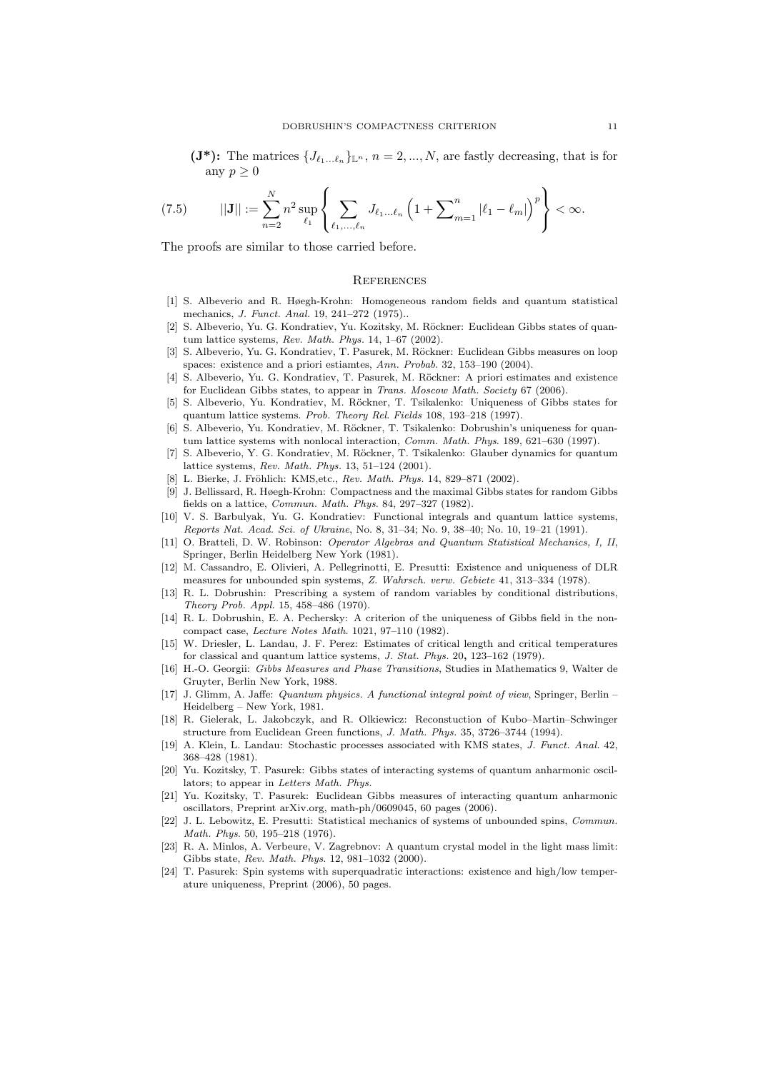$(\mathbf{J}^*)$ : The matrices  $\{J_{\ell_1...\ell_n}\}_{\mathbb{L}^n}$ ,  $n = 2, ..., N$ , are fastly decreasing, that is for any  $p \geq 0$ 

(7.5) 
$$
||\mathbf{J}|| := \sum_{n=2}^{N} n^2 \sup_{\ell_1} \left\{ \sum_{\ell_1, ..., \ell_n} J_{\ell_1 ... \ell_n} \left( 1 + \sum_{m=1}^{n} |\ell_1 - \ell_m| \right)^p \right\} < \infty.
$$

The proofs are similar to those carried before.

#### **REFERENCES**

- [1] S. Albeverio and R. Høegh-Krohn: Homogeneous random fields and quantum statistical mechanics, J. Funct. Anal. 19, 241–272 (1975)..
- [2] S. Albeverio, Yu. G. Kondratiev, Yu. Kozitsky, M. Röckner: Euclidean Gibbs states of quantum lattice systems, Rev. Math. Phys. 14, 1–67 (2002).
- [3] S. Albeverio, Yu. G. Kondratiev, T. Pasurek, M. Röckner: Euclidean Gibbs measures on loop spaces: existence and a priori estiamtes, Ann. Probab. 32, 153–190 (2004).
- [4] S. Albeverio, Yu. G. Kondratiev, T. Pasurek, M. Röckner: A priori estimates and existence for Euclidean Gibbs states, to appear in Trans. Moscow Math. Society 67 (2006).
- [5] S. Albeverio, Yu. Kondratiev, M. Röckner, T. Tsikalenko: Uniqueness of Gibbs states for quantum lattice systems. Prob. Theory Rel. Fields 108, 193–218 (1997).
- [6] S. Albeverio, Yu. Kondratiev, M. Röckner, T. Tsikalenko: Dobrushin's uniqueness for quantum lattice systems with nonlocal interaction, Comm. Math. Phys. 189, 621–630 (1997).
- [7] S. Albeverio, Y. G. Kondratiev, M. Röckner, T. Tsikalenko: Glauber dynamics for quantum lattice systems, Rev. Math. Phys. 13, 51–124 (2001).
- [8] L. Bierke, J. Fröhlich: KMS, etc., Rev. Math. Phys. 14, 829-871 (2002).
- [9] J. Bellissard, R. Høegh-Krohn: Compactness and the maximal Gibbs states for random Gibbs fields on a lattice, Commun. Math. Phys. 84, 297–327 (1982).
- [10] V. S. Barbulyak, Yu. G. Kondratiev: Functional integrals and quantum lattice systems, Reports Nat. Acad. Sci. of Ukraine, No. 8, 31–34; No. 9, 38–40; No. 10, 19–21 (1991).
- [11] O. Bratteli, D. W. Robinson: Operator Algebras and Quantum Statistical Mechanics, I, II, Springer, Berlin Heidelberg New York (1981).
- [12] M. Cassandro, E. Olivieri, A. Pellegrinotti, E. Presutti: Existence and uniqueness of DLR measures for unbounded spin systems, Z. Wahrsch. verw. Gebiete 41, 313–334 (1978).
- [13] R. L. Dobrushin: Prescribing a system of random variables by conditional distributions, Theory Prob. Appl. 15, 458–486 (1970).
- [14] R. L. Dobrushin, E. A. Pechersky: A criterion of the uniqueness of Gibbs field in the noncompact case, Lecture Notes Math. 1021, 97–110 (1982).
- [15] W. Driesler, L. Landau, J. F. Perez: Estimates of critical length and critical temperatures for classical and quantum lattice systems, J. Stat. Phys. 20, 123–162 (1979).
- [16] H.-O. Georgii: Gibbs Measures and Phase Transitions, Studies in Mathematics 9, Walter de Gruyter, Berlin New York, 1988.
- [17] J. Glimm, A. Jaffe: Quantum physics. A functional integral point of view, Springer, Berlin Heidelberg – New York, 1981.
- [18] R. Gielerak, L. Jakobczyk, and R. Olkiewicz: Reconstuction of Kubo–Martin–Schwinger structure from Euclidean Green functions, J. Math. Phys. 35, 3726–3744 (1994).
- [19] A. Klein, L. Landau: Stochastic processes associated with KMS states, J. Funct. Anal. 42, 368–428 (1981).
- [20] Yu. Kozitsky, T. Pasurek: Gibbs states of interacting systems of quantum anharmonic oscillators; to appear in Letters Math. Phys.
- [21] Yu. Kozitsky, T. Pasurek: Euclidean Gibbs measures of interacting quantum anharmonic oscillators, Preprint arXiv.org, math-ph/0609045, 60 pages (2006).
- [22] J. L. Lebowitz, E. Presutti: Statistical mechanics of systems of unbounded spins, Commun. Math. Phys. 50, 195–218 (1976).
- [23] R. A. Minlos, A. Verbeure, V. Zagrebnov: A quantum crystal model in the light mass limit: Gibbs state, Rev. Math. Phys. 12, 981–1032 (2000).
- [24] T. Pasurek: Spin systems with superquadratic interactions: existence and high/low temperature uniqueness, Preprint (2006), 50 pages.